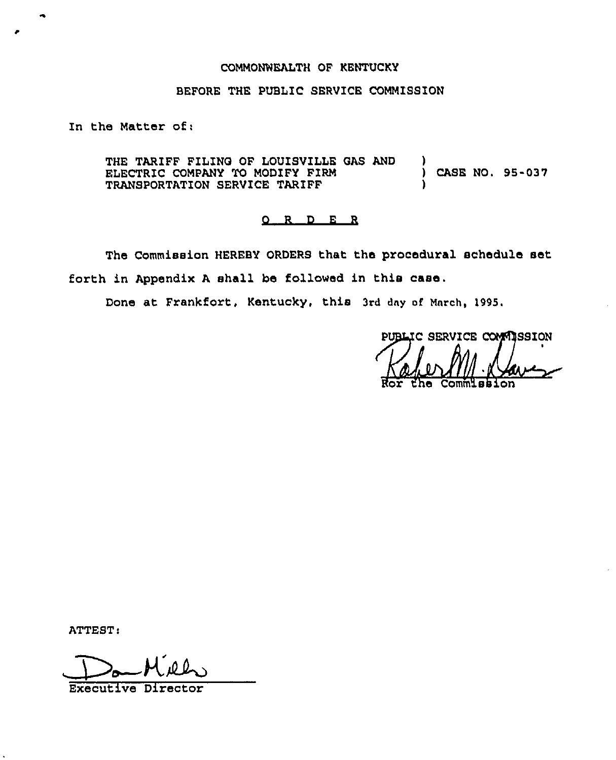### COMMONWEALTH OF KENTUCKY

### BEFORE THE PUBLIC SERVICE COMMISSION

In the Matter of:

THE TARIFF FILING OF LOUISVILLE GAS AND ELECTRIC COMPANY TO MODIFY FIRM TRANSPORTATION SERVICE TARIFF ) ) CASE NO. 95-037 )

#### ORDER

The Commission HEREBY ORDERS that the procedural schedule set forth in Appendix <sup>A</sup> shall be followed in this case.

Done at Frankfort, Kentucky, this 3rd day of March, 1995.

PUBLIC SERVICE COMMISSION Ror the Commission

ATTEST:

Executive Director